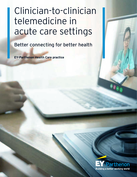## Clinician-to-clinician telemedicine in acute care settings

Better connecting for better health

**EY-Parthenon Health Care practice**

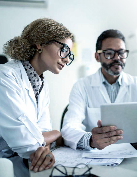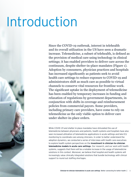# Introduction

Since the COVID-19 outbreak, interest in telehealth and its overall utilization in the US have seen a dramatic increase. Telemedicine, a subset of telehealth, is defined as the provision of medical care using technology in clinical settings; it has enabled providers to deliver care across the continuum, despite shelter-in-place mandates (Figure 1). Adoption by consumers, physician practices and hospitals has increased significantly as patients seek to avoid health care settings to reduce exposure to COVID-19 and administrators shift as much care as possible to virtual channels to conserve vital resources for frontline work. The significant uptake in the deployment of telemedicine has been enabled by temporary increases in funding and relaxation of regulations by government departments, in conjunction with shifts in coverage and reimbursement policies from commercial payors. Some providers, including primary care providers, have come to rely on telemedicine as the only viable option to deliver care under shelter-in-place orders.

While COVID-19 and shelter-in-place mandates have stimulated the use of telemedicine between physicians and patients, health systems and hospitals have also seen increased utilization of telemedicine applications in acute settings and tele-ICU monitoring to coordinate care among clinicians. In order to better understand the adoption dynamics, we conducted a series of interviews with health care executives to explore health system perspectives on the **investment in clinician-to-clinician telemedicine models in acute care settings**. Our research, and our work with health systems, suggests that there will be a notable increase in the usage of telemedicine solutions in this context. Moreover, we believe that hospital and health systems will increasingly value clinically integrated solutions that bundle technology with clinical support to round out staffing shortages.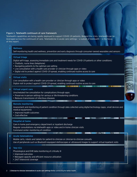#### **Figure 1. Telehealth continuum of care framework**

Telehealth capabilities are being rapidly deployed to support COVID-19 patients. Beyond the crisis, telehealth can be leveraged across the continuum of care. Telemedicine in acute care settings — a subset of telehealth — is the focus of this report.

#### **Wellness**

Self-monitoring health and wellness, prevention and early diagnosis through consumer-owned wearables and sensors

#### **Virtual triage**

Digital self-triage, assessing immediate care and treatment needs for COVID-19 patients or other conditions:

- Chatbots, nurse lines (telephone)
- Navigating patients to the optimal care setting
- Live consultation with a health care provider or clinician through apps or video
- Digital visit to protect against COVID-19 spread, enabling continued routine access to care

#### **Virtual visits**

Live consultation with a health care provider or clinician through apps or video Digital visit to protect against COVID-19 spread, enabling continued routine access to care

a seria da seria de la contrada del contrado de la contrada de la contrada de la contrada de la contrada de la

#### **Virtual urgent care**

Unscheduled live consultation for complications through apps:

- Preserves in-person settings for serious or life-threatening conditions
- Reduces transmission of infectious diseases

#### **Remote monitoring**

Assessment and monitoring of patient condition through data collected using digital technology (apps, small devices and medical equipment):

**THE R. P. LEWIS CO., LANSING, MICH. 49-14039-1-120-2** 

- Improved health outcomes
- Cost-effective

#### **Hospital at home**

Care in home post-emergency department or inpatient discharge Regular consultations via telehealth apps or video and in-home clinician visits Command center monitoring of condition

#### **Acute telemedicine**

Mobile carts, robots and tablets for patient-to-clinician or clinician-to-clinician consults Use of peripherals such as Bluetooth-equipped stethoscopes or ultrasound images to support virtual inpatient visits

#### **Tele-ICU**

Physiological and EHR data monitoring of critically ill

- Improved outcomes
- Managed capacity and efficient resource utilization
- 24/7 intensivist coverage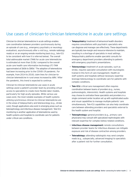## Use cases of clinician-to-clinician telemedicine in acute care settings

Clinician-to-clinician telemedicine in acute settings enables care coordination between providers synchronously during an episode of care (e.g., emergency psychiatry or neurology evaluation), asynchronously after a visit (e.g., remote radiology reads) or on an ongoing remote monitoring basis (e.g., tele-ICU to be consistent with how it is referred below). The overall total addressable market (TAM) for acute care telemedicine is estimated at more than  $$10b<sup>1</sup>$  compared to the overall acute care health care information technology (IT) TAM approximated at \$60b to \$80b.2 The adoption of telemedicine had been increasing prior to the COVID-19 pandemic. For example, from 2014 to 2018, claim lines for clinician-toclinician telemedicine in rural areas increased by 68%.3 After the pandemic, this trend is expected to continue.

Clinician-to-clinician telemedicine use cases in acute settings assist a patient's provider team by providing virtual access to specialists to create more flexible labor models, particularly for high acuity episodes. While various use cases exist, the most notable examples of health systems utilizing synchronous clinician-to-clinician telemedicine are in the areas of telepsychiatry and teleneurology (e.g., stroke care), though applications also exist in emerging areas such as telenephrology and infectious disease management. Tele-ICU monitoring is another application of telemedicine used by health systems and hospitals to coordinate care for patients under critical care conditions.

- **Telepsychiatry:** treatment of behavioral health disorders requires consultations with psychiatric specialists who can diagnose and manage care effectively. These departments are typically low-margin and resource-intensive to maintain, resulting in a shortage of specialists in most settings. Telepsychiatry platforms enable specialist consults for emergency department providers attending to patients with emergency psychiatric presentations.
- **Teleneurology:** treatment of acute episodes, such as stroke, requires specialist consultation with neurologists trained in this form of care management. Health on staff systems and hospitals without necessary expertise leverage teleneurology to coordinate care for patients with complex conditions.
- **Tele-ICU:** critical care management often requires coordination between teams of providers (e.g., nurses, pulmonologists, intensivists). Health systems and hospitals may choose to centralize these specialists and providers in a single command center location set up with sophisticated audio and visual capabilities to manage multiple patients' care simultaneously. Tele-ICU capabilities can also help coordinate care between attending providers and specialists external to the health system and hospital.
- **Telenephrology:** general providers (e.g., primary care physicians) may consult with specialized nephrologists with relevant expertise for complex kidney-related conditions.
- **Infectious disease management:** remote consultations between provider teams for infectious diseases can mitigate exposure and risk of disease contraction among providers.
- **Teleradiology:** attending radiologists may send complex reads (e.g., subspecialty, advanced imaging) to specialists after a patient visit for further consultation.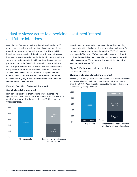## Industry views: acute telemedicine investment interest and future intentions

Over the last few years, health systems have invested in IT across their organizations to bolster clinical and nonclinical operations. However, unlike with telemedicine, historical IT investments (e.g., electronic health record) have not always improved provider experiences. While decision-makers indicate some uncertainty around future IT investment given margin pressures due to the COVID-19 pandemic, there remains a strong appetite and interest in acute telemedicine and tele-ICU going forward (Figure 2). As one health system CIO indicates, "Even if over the next 12 to 18 months IT spend was flat or went down, I'd expect telemedicine spend to continue to increase. We're going to see some additional investment as we continue to see more use."

#### **Figure 2. Evolution of telemedicine spend**

#### **Overall telemedicine investment**

How do you expect your organization's overall telemedicine spend to trend over the next 12 to 18 months after the COVID-19 pandemic (increase, stay the same, decrease)? If increase, by what percentage?



In particular, decision-makers express interest in expanding budgets related to clinician-to-clinician acute telemedicine by 5% to 10% to manage care delivery through the COVID-19 pandemic and beyond (Figure 3). "We've seen an increase in clinician-toclinician telemedicine spend over the last two years. I expect it to increase another 5% to 10% over the next 12 to 18 months," said one health system CIO.

#### **Figure 3. Evolution of clinician-to-clinician telemedicine spend**

#### **Clinician-to-clinician telemedicine investment**

How do you expect your organization's spend on clinician-to-clinician acute care telemedicine to trend over the next 12 to 18 months after the COVID-19 pandemic (increase, stay the same, decrease)? If increase, by what percentage?

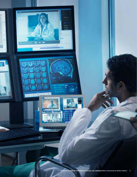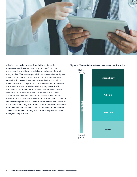

Clinician-to-clinician telemedicine in the acute setting empowers health systems and hospitals to (1) improve access and the quality of care delivery, particularly in rural geographies; (2) manage specialist shortages and capacity need; and (3) optimize the cost of care delivery through resource centralization. Given these use cases and value proposition, health system and hospital decision-makers expect to increase the spend on acute care telemedicine going forward. With the onset of COVID-19, more providers are expected to adopt telemedicine capabilities, given the general comfort and acceptance of telemedicine as a sustainable model of care delivery. As one telemedicine vendor indicated, "With COVID-19, we have seen providers who were in isolation now able to consult via telemedicine. Long term, there's a lot of potential. With acute care telemedicine, specialists can be connected in five minutes and be way ahead of treating that patient who presents at the emergency department."



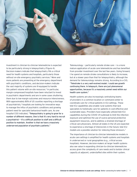

Investment in clinician-to-clinician telemedicine is expected to be particularly strong in telepsychiatry (Figure 4). Decision‑makers indicate that telepsychiatry fills a critical need for health systems and hospitals, particularly those without on-site emergency psychiatry services.<sup>4</sup> More and more patients are presenting at the emergency department with psychiatric conditions, and decision-makers indicate the vast majority of systems are ill-equipped to handle this patient volume with on-site resources.<sup>5</sup> In particular, margin-compressed hospitals have been reluctant to invest in psychiatric departments and are in some cases shuttering them due to low-margin outcomes and resource intensiveness. With approximately 80% of US counties reporting a shortage of psychiatrists,<sup>6</sup> hospitals are looking for innovative ways to manage the influx of psychiatric conditions and growing patient need for specialist behavioral health care. As one hospital COO indicated, "Telepsychiatry is going to grow for a number of different reasons. One is that it's very hard to recruit a psychiatrist  $-$  it's a difficult position to staff and a difficult position to maintain. Another is that we have a massively underserved population of psychiatry patients."

Teleneurology  $-$  particularly remote stroke care  $-$  is a more mature application of acute care telemedicine and has benefited from provider investment over the last few years. Going forward, t he spend on remote stroke consultations is likely to increase, but at a slower pace than that for telepsychiatry, although the demand for teleneurology remains strong. According to a CIO, "Telestroke is a very well-evolved model. I could see growth continuing there. In telepsych, there are just phenomenal opportunities, because it's a massively unmet need within our health care system."

Health systems are also increasingly centralizing teams of providers in a common location or command center to coordinate care for critical patients in ICU settings. These tele-ICU capabilities also enable rural systems that lack specialists to holistically care for patients in cost-effective and sustainable ways. Providers have especially utilized tele-ICU capabilities during the COVID-19 outbreak to limit the infection exposure and optimize the use of scarce personal protective equipment resources, and to address a strained shortage of critical care physicians. Almost all states in the US are expected to experience a shortage of intensivists in the future; tele-ICU models are a possible solution for relieving those stressors.<sup>7</sup>

The importance of clinician-to-clinician telemedicine models in acute care settings is amplified for health systems and hospitals in underserved or rural geographies (e.g., critical access hospitals). However, decision-makers at larger health systems also see value in expanding clinician-to-clinician telemedicine access given the complexity of care needs and to bolster clinical capacity at adjacent, understaffed sites within their system.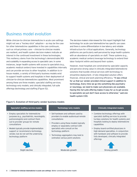## Business model evolution

While clinician-to-clinician telemedicine in acute care settings might not see a "hockey-stick" adoption — as may be the case for other telemedicine capabilities in the care continuum, such as virtual primary care — clinician-to-clinician models are resilient, and health system decision-makers indicate an interest in the continued investment in these technologies. This resiliency stems from the technology's demonstrable ROI and scalability in expanding access to specialist care. In some instances, larger health systems with access to specialists (e.g., academic medical centers) have invested in capabilities internally and can provide services to other hospitals. In addition to inhouse models, a variety of third-party business models exist to support health systems and hospitals in their deployment of clinician-to-clinician telemedicine capabilities. Most prominent among these are three models: specialist staffing services; technology-only models; and clinically integrated, full suite offerings (technology and staffing [Figure 5]).

The decision-makers interviewed for this report highlight that technology for acute care telemedicine has specific use cases and there is some differentiation in low latency and reliable infrastructure for critical applications. Generally, technology platforms are particularly well-perceived by large health systems with an abundance of specialists on staff. These systems (e.g., academic medical centers) leverage technology to extend their labor footprint within and beyond their system.

However, most hospitals are constrained by specialist capacity and perceive strong value in clinically integrated telemedicine solutions that bundle clinical services with technology to streamline deployment. A fully integrated solution offers financial, clinical and work planning efficiency. "It was critical for us that our vendor provided clinical support in addition to technology. Every time we go into something like psychiatry or neurology, we need to make sure physicians are available. Having this full suite offering makes it easy for us to get access to specialists we just don't have access to otherwise," said one health system COO.

#### **Figure 5. Evolution of third-party vendor business models**

#### **Specialist staffing service models Technology-only models Clinically integrated models**

- Employ specialists for telemedicine purposes (e.g., psychiatrists, neurologists, pulmonologists) and contract them out to provider groups for remote consultations
- Models typically provide implementation support or recommend a technology vendor, but do not sell the underlying technology platform



- Sell hardware and software used by providers to enable audiovisual remote consultations
- Providers using these models typically employ or separately contract with specialists who consult on the technology platform
- Technology aggregators may look to centralize various point solutions



- Combine technology offerings with specialist staffing services to provide turnkey solutions for health systems and hospitals looking to deploy telemedicine capabilities
- Employ board-certified physicians in high-demand specialties, in conjunction with hardware and software to provide fully developed, clinically integrated offerings

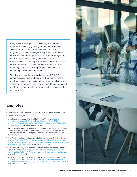Going forward, we expect clinically integrated models to benefit from strong growth given the decision-maker investment interest in acute telemedicine and the burgeoning specialist shortages in key areas. Technology models will continue to garner interest from larger systems and academic centers looking to extend their labor footprint beyond core campuses. Specialist staffing service models that do not provide technology are likely to expand technology capabilities through organic investment or partnerships to remain competitive.

While the spike in adoption sparked by the COVID-19 pandemic across the broader care continuum may recede over time, clinician-to-clinician telemedicine models in acute settings will remain resilient — and will benefit from increased health system and hospital investment in the coming months and years.

### Endnotes

- <sup>1</sup> Credit Suisse analyst report on Teladoc, March 2020; EY-Parthenon analysis.<br><sup>2</sup> EY-Parthenon analysis.
- 
- 3 "A Multilayered Analysis of Telehealth,*" Fair Health website,* [https://](https://s3.amazonaws.com/media2.fairhealth.org/whitepaper/asset/A%20Multilayered%20Analysis%20of%20Telehealth%20-%20A%20FAIR%20Health%20White%20Paper.pdf) [s3.amazonaws.com/media2.fairhealth.org/whitepaper/asset/A%20](https://s3.amazonaws.com/media2.fairhealth.org/whitepaper/asset/A%20Multilayered%20Analysis%20of%20Telehealth%20-%20A%20FAIR%20Health%20White%20Paper.pdf) [Multilayered%20Analysis%20of%20Telehealth%20-%20A%20FAIR%20Health%20](https://s3.amazonaws.com/media2.fairhealth.org/whitepaper/asset/A%20Multilayered%20Analysis%20of%20Telehealth%20-%20A%20FAIR%20Health%20White%20Paper.pdf) [White%20Paper.pdf](https://s3.amazonaws.com/media2.fairhealth.org/whitepaper/asset/A%20Multilayered%20Analysis%20of%20Telehealth%20-%20A%20FAIR%20Health%20White%20Paper.pdf)*,* accessed June 18, 2020 *.*
- <sup>4</sup> Rain E. Freeman, Krislyn M. Boggs, Kori S. Zachrison, Rachel D. Freid, Ashley F. Sullivan, Janice A. Espinola and Carlos A. Camargo, Jr., *"National Study of Telepsychiatry Use in U.S. Emergency Departments,"* Psychiatric Services, 2020, 71:6, 540-546.
- 5 "The Psychiatric Shortage: Causes and Solutions," *National Council for Behavioral Health website*, [https://s3.amazonaws.com/media2.fairhealth.org/whitepaper/](https://s3.amazonaws.com/media2.fairhealth.org/whitepaper/asset/A%20Multilayered%20Analysis%20of%20Telehealth%20-%20A%20FAIR%20Health%20White%20Paper.pdf) [asset/A%20Multilayered%20Analysis%20of%20Telehealth%20-%20A%20FAIR%20](https://s3.amazonaws.com/media2.fairhealth.org/whitepaper/asset/A%20Multilayered%20Analysis%20of%20Telehealth%20-%20A%20FAIR%20Health%20White%20Paper.pdf) [Health%20White%20Paper.pdf,](https://s3.amazonaws.com/media2.fairhealth.org/whitepaper/asset/A%20Multilayered%20Analysis%20of%20Telehealth%20-%20A%20FAIR%20Health%20White%20Paper.pdf) accessed June 18, 2020.
- <sup>6</sup> "2017 Review of Physician and Advanced Practitioner Recruiting Incentives," *Merritt Hawkins website*, [https://www.merritthawkins.com/uploadedFiles/](https://www.merritthawkins.com/uploadedFiles/MerrittHawkins/Pdf/2017_Physician_Incentive_Review_Merritt_Hawkins.pdf) [MerrittHawkins/Pdf/2017\\_Physician\\_Incentive\\_Review\\_Merritt\\_Hawkins.pdf](https://www.merritthawkins.com/uploadedFiles/MerrittHawkins/Pdf/2017_Physician_Incentive_Review_Merritt_Hawkins.pdf), accessed June 18, 2020.
- <sup>7</sup> *"Array Advisors Projects Massive Shortage of Critical Care Physicians Due to COVID-19," Array website,* [https://array-architects.com/press-release/array](https://array-architects.com/press-release/array-advisors-projects-massive-shortage-of-critical-care physicians-due-to-covid-19/)[advisors-projects-massive-shortage-of-critical-care physicians-due-to-covid-19/](https://array-architects.com/press-release/array-advisors-projects-massive-shortage-of-critical-care physicians-due-to-covid-19/) , accessed June 18, 2020 *.*